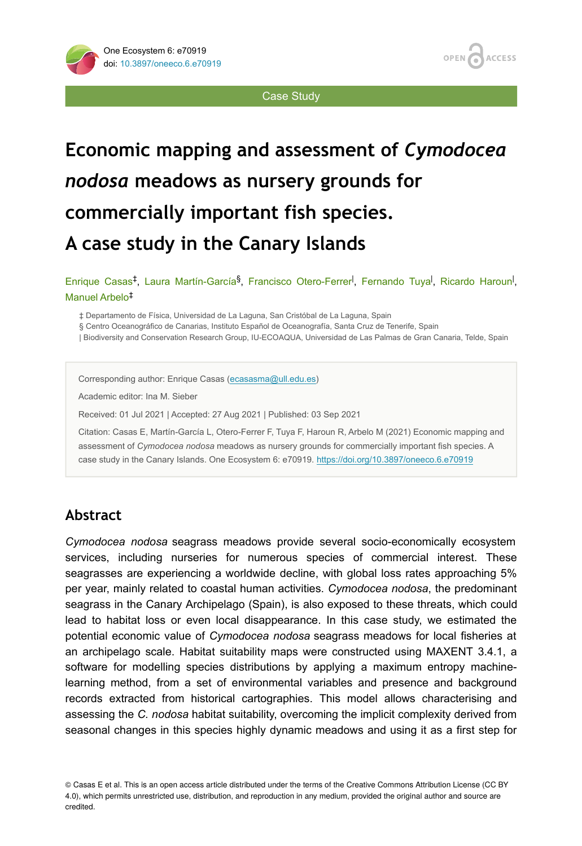

Case Study

# **Economic mapping and assessment of** *Cymodocea nodosa* **meadows as nursery grounds for commercially important fish species. A case study in the Canary Islands**

Enrique Casas<sup>‡</sup>, Laura Martín-García<sup>§</sup>, Francisco Otero-Ferrer<sup>1</sup>, Fernando Tuya<sup>l</sup>, Ricardo Haroun<sup>1</sup>, Manuel Arbelo ‡

‡ Departamento de Física, Universidad de La Laguna, San Cristóbal de La Laguna, Spain

§ Centro Oceanográfico de Canarias, Instituto Español de Oceanografía, Santa Cruz de Tenerife, Spain

| Biodiversity and Conservation Research Group, IU-ECOAQUA, Universidad de Las Palmas de Gran Canaria, Telde, Spain

Corresponding author: Enrique Casas ([ecasasma@ull.edu.es\)](mailto:ecasasma@ull.edu.es)

Academic editor: Ina M. Sieber

Received: 01 Jul 2021 | Accepted: 27 Aug 2021 | Published: 03 Sep 2021

Citation: Casas E, Martín-García L, Otero-Ferrer F, Tuya F, Haroun R, Arbelo M (2021) Economic mapping and assessment of *Cymodocea nodosa* meadows as nursery grounds for commercially important fish species. A case study in the Canary Islands. One Ecosystem 6: e70919.<https://doi.org/10.3897/oneeco.6.e70919>

# **Abstract**

*Cymodocea nodosa* seagrass meadows provide several socio-economically ecosystem services, including nurseries for numerous species of commercial interest. These seagrasses are experiencing a worldwide decline, with global loss rates approaching 5% per year, mainly related to coastal human activities. *Cymodocea nodosa*, the predominant seagrass in the Canary Archipelago (Spain), is also exposed to these threats, which could lead to habitat loss or even local disappearance. In this case study, we estimated the potential economic value of *Cymodocea nodosa* seagrass meadows for local fisheries at an archipelago scale. Habitat suitability maps were constructed using MAXENT 3.4.1, a software for modelling species distributions by applying a maximum entropy machinelearning method, from a set of environmental variables and presence and background records extracted from historical cartographies. This model allows characterising and assessing the *C. nodosa* habitat suitability, overcoming the implicit complexity derived from seasonal changes in this species highly dynamic meadows and using it as a first step for

© Casas E et al. This is an open access article distributed under the terms of the Creative Commons Attribution License (CC BY 4.0), which permits unrestricted use, distribution, and reproduction in any medium, provided the original author and source are credited.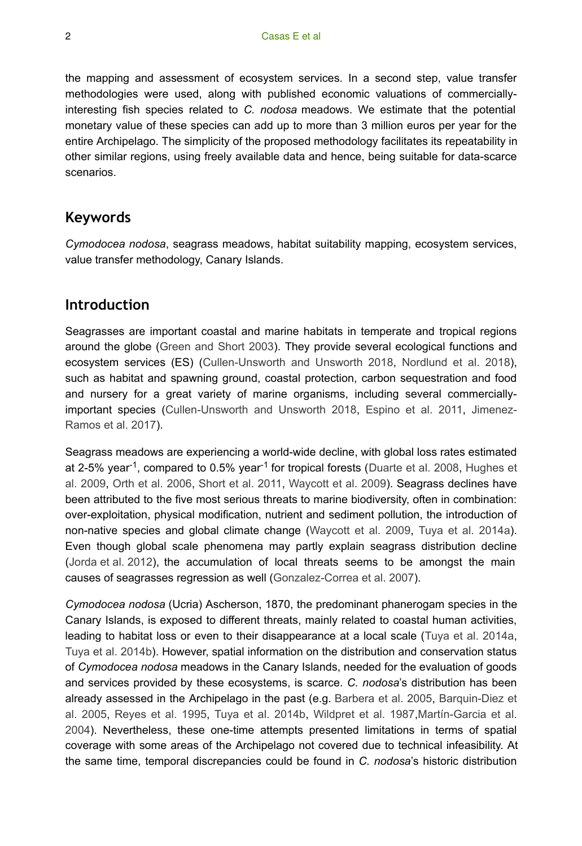the mapping and assessment of ecosystem services. In a second step, value transfer methodologies were used, along with published economic valuations of commerciallyinteresting fish species related to *C. nodosa* meadows. We estimate that the potential monetary value of these species can add up to more than 3 million euros per year for the entire Archipelago. The simplicity of the proposed methodology facilitates its repeatability in other similar regions, using freely available data and hence, being suitable for data-scarce scenarios.

## **Keywords**

*Cymodocea nodosa*, seagrass meadows, habitat suitability mapping, ecosystem services, value transfer methodology, Canary Islands.

## **Introduction**

Seagrasses are important coastal and marine habitats in temperate and tropical regions around the globe [\(Green and Short 2003\)](#page-13-0). They provide several ecological functions and ecosystem services (ES) ([Cullen-Unsworth and Unsworth 2018,](#page-13-1) [Nordlund et al. 2018\)](#page-14-0), such as habitat and spawning ground, coastal protection, carbon sequestration and food and nursery for a great variety of marine organisms, including several commerciallyimportant species ([Cullen-Unsworth and Unsworth 2018](#page-13-1), [Espino et al. 2011,](#page-13-2) [Jimenez-](#page-13-3)[Ramos et al. 2017](#page-13-3)).

Seagrass meadows are experiencing a world-wide decline, with global loss rates estimated at 2-5% year<sup>-1</sup>, compared to 0.5% year<sup>-1</sup> for tropical forests ([Duarte et al. 2008,](#page-13-4) [Hughes et](#page-13-5) [al. 2009,](#page-13-5) [Orth et al. 2006](#page-14-1), [Short et al. 2011](#page-15-0), [Waycott et al. 2009](#page-15-1)). Seagrass declines have been attributed to the five most serious threats to marine biodiversity, often in combination: over-exploitation, physical modification, nutrient and sediment pollution, the introduction of non-native species and global climate change ([Waycott et al. 2009,](#page-15-1) [Tuya et al. 2014a\)](#page-15-2). Even though global scale phenomena may partly explain seagrass distribution decline [\(Jorda et al. 2012](#page-13-6)), the accumulation of local threats seems to be amongst the main causes of seagrasses regression as well ([Gonzalez-Correa et al. 2007\)](#page-13-7).

*Cymodocea nodosa* (Ucria) Ascherson, 1870, the predominant phanerogam species in the Canary Islands, is exposed to different threats, mainly related to coastal human activities, leading to habitat loss or even to their disappearance at a local scale [\(Tuya et al. 2014a,](#page-15-2) [Tuya et al. 2014b](#page-15-3)). However, spatial information on the distribution and conservation status of *Cymodocea nodosa* meadows in the Canary Islands, needed for the evaluation of goods and services provided by these ecosystems, is scarce. *C. nodosa*'s distribution has been already assessed in the Archipelago in the past (e.g. [Barbera et al. 2005](#page-12-0), [Barquin-Diez et](#page-12-1) [al. 2005,](#page-12-1) [Reyes et al. 1995](#page-14-2), [Tuya et al. 2014b](#page-15-3), [Wildpret et al. 1987](#page-15-4),[Martín-Garcia et al.](#page-14-3) [2004](#page-14-3)). Nevertheless, these one-time attempts presented limitations in terms of spatial coverage with some areas of the Archipelago not covered due to technical infeasibility. At the same time, temporal discrepancies could be found in *C. nodosa*'s historic distribution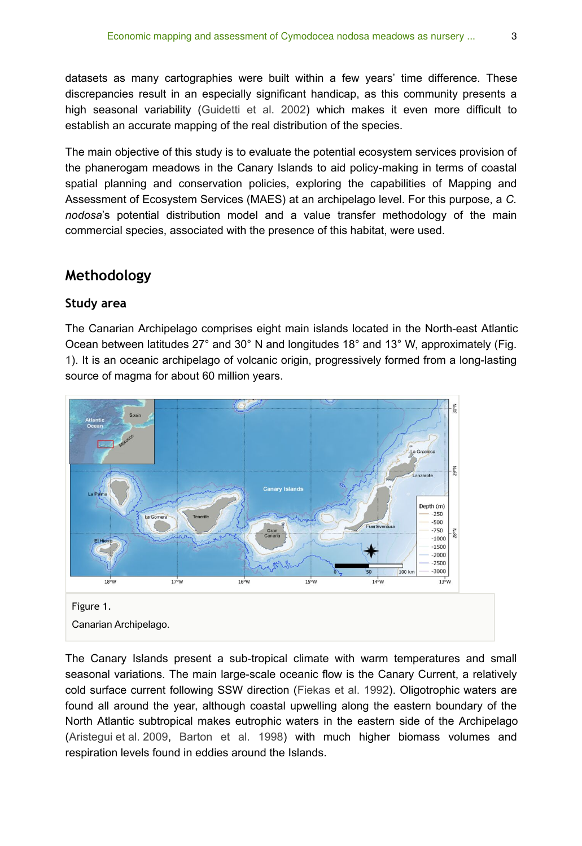datasets as many cartographies were built within a few years' time difference. These discrepancies result in an especially significant handicap, as this community presents a high seasonal variability ([Guidetti et al. 2002\)](#page-13-8) which makes it even more difficult to establish an accurate mapping of the real distribution of the species.

The main objective of this study is to evaluate the potential ecosystem services provision of the phanerogam meadows in the Canary Islands to aid policy-making in terms of coastal spatial planning and conservation policies, exploring the capabilities of Mapping and Assessment of Ecosystem Services (MAES) at an archipelago level. For this purpose, a *C. nodosa*'s potential distribution model and a value transfer methodology of the main commercial species, associated with the presence of this habitat, were used.

## **Methodology**

## **Study area**

The Canarian Archipelago comprises eight main islands located in the North-east Atlantic Ocean between latitudes 27° and 30° N and longitudes 18° and 13° W, approximately (Fig. [1](#page-2-0)). It is an oceanic archipelago of volcanic origin, progressively formed from a long-lasting source of magma for about 60 million years.

<span id="page-2-0"></span>

The Canary Islands present a sub-tropical climate with warm temperatures and small seasonal variations. The main large-scale oceanic flow is the Canary Current, a relatively cold surface current following SSW direction ([Fiekas et al. 1992](#page-13-9)). Oligotrophic waters are found all around the year, although coastal upwelling along the eastern boundary of the North Atlantic subtropical makes eutrophic waters in the eastern side of the Archipelago [\(Aristegui et al. 2009,](#page-12-2) [Barton et al. 1998\)](#page-13-10) with much higher biomass volumes and respiration levels found in eddies around the Islands.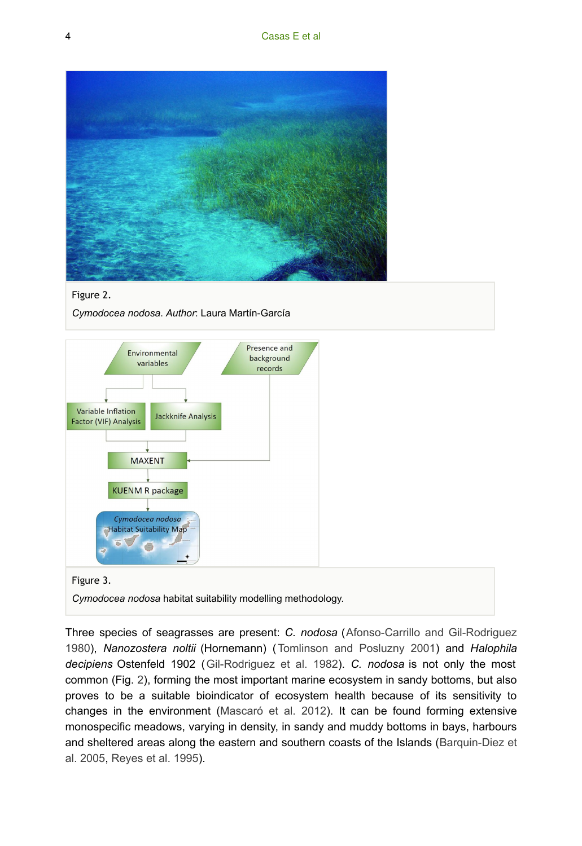<span id="page-3-0"></span>

Figure 2.

*Cymodocea nodosa*. *Author*: Laura Martín-García

<span id="page-3-1"></span>

## Figure 3.

*Cymodocea nodosa* habitat suitability modelling methodology.

Three species of seagrasses are present: *C. nodosa* ([Afonso-Carrillo and Gil-Rodriguez](#page-12-3) [1980](#page-12-3)), *Nanozostera noltii* (Hornemann) ([Tomlinson and Posluzny 2001\)](#page-15-5) and *Halophila decipiens* Ostenfeld 1902 ([Gil-Rodriguez et al. 1982\)](#page-13-11). *C. nodosa* is not only the most common (Fig. [2](#page-3-0)), forming the most important marine ecosystem in sandy bottoms, but also proves to be a suitable bioindicator of ecosystem health because of its sensitivity to changes in the environment ([Mascaró et al. 2012](#page-14-4)). It can be found forming extensive monospecific meadows, varying in density, in sandy and muddy bottoms in bays, harbours and sheltered areas along the eastern and southern coasts of the Islands ([Barquin-Diez et](#page-12-1) [al. 2005](#page-12-1), [Reyes et al. 1995\)](#page-14-2).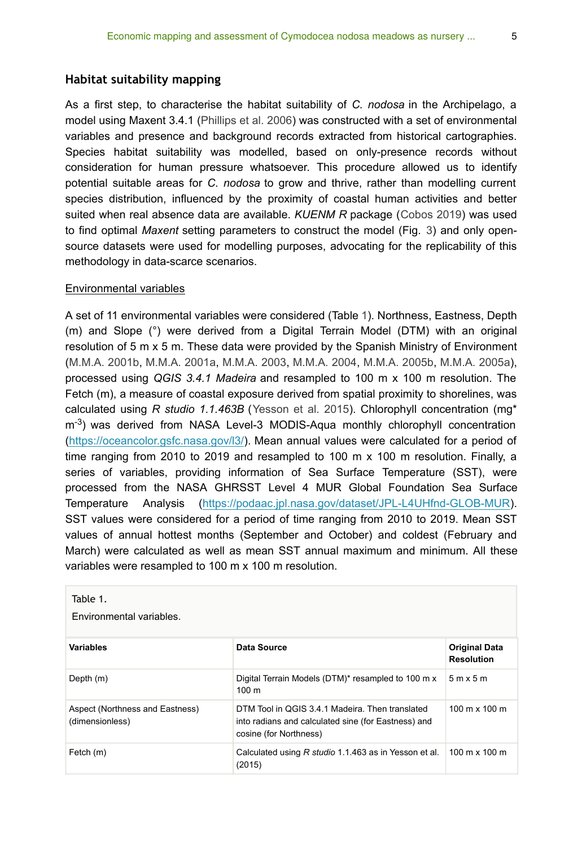As a first step, to characterise the habitat suitability of *C. nodosa* in the Archipelago, a model using Maxent 3.4.1 [\(Phillips et al. 2006\)](#page-14-5) was constructed with a set of environmental variables and presence and background records extracted from historical cartographies. Species habitat suitability was modelled, based on only-presence records without consideration for human pressure whatsoever. This procedure allowed us to identify potential suitable areas for *C. nodosa* to grow and thrive, rather than modelling current species distribution, influenced by the proximity of coastal human activities and better suited when real absence data are available. *KUENM R* package ([Cobos 2019\)](#page-13-12) was used to find optimal *Maxent* setting parameters to construct the model (Fig. [3](#page-3-1)) and only opensource datasets were used for modelling purposes, advocating for the replicability of this methodology in data-scarce scenarios.

## Environmental variables

A set of 11 environmental variables were considered (Table [1](#page-4-0)). Northness, Eastness, Depth (m) and Slope (°) were derived from a Digital Terrain Model (DTM) with an original resolution of 5 m x 5 m. These data were provided by the Spanish Ministry of Environment [\(M.M.A. 2001b,](#page-14-6) [M.M.A. 2001a](#page-14-7), [M.M.A. 2003,](#page-14-8) [M.M.A. 2004,](#page-14-9) [M.M.A. 2005b](#page-14-10), [M.M.A. 2005a\)](#page-14-11), processed using *QGIS 3.4.1 Madeira* and resampled to 100 m x 100 m resolution. The Fetch (m), a measure of coastal exposure derived from spatial proximity to shorelines, was calculated using *R studio 1.1.463B* ([Yesson et al. 2015](#page-15-6)). Chlorophyll concentration (mg\*  $m<sup>-3</sup>$ ) was derived from NASA Level-3 MODIS-Aqua monthly chlorophyll concentration [\(https://oceancolor.gsfc.nasa.gov/l3/](https://oceancolor.gsfc.nasa.gov/l3/)). Mean annual values were calculated for a period of time ranging from 2010 to 2019 and resampled to 100 m x 100 m resolution. Finally, a series of variables, providing information of Sea Surface Temperature (SST), were processed from the NASA GHRSST Level 4 MUR Global Foundation Sea Surface Temperature Analysis ([https://podaac.jpl.nasa.gov/dataset/JPL-L4UHfnd-GLOB-MUR\)](https://podaac.jpl.nasa.gov/dataset/JPL-L4UHfnd-GLOB-MUR). SST values were considered for a period of time ranging from 2010 to 2019. Mean SST values of annual hottest months (September and October) and coldest (February and March) were calculated as well as mean SST annual maximum and minimum. All these variables were resampled to 100 m x 100 m resolution.

<span id="page-4-0"></span>

| Table 1.<br>Environmental variables.               |                                                                                                                                  |                                           |  |
|----------------------------------------------------|----------------------------------------------------------------------------------------------------------------------------------|-------------------------------------------|--|
| <b>Variables</b>                                   | Data Source                                                                                                                      | <b>Original Data</b><br><b>Resolution</b> |  |
| Depth (m)                                          | Digital Terrain Models (DTM)* resampled to 100 m x<br>$100 \text{ m}$                                                            | $5m \times 5m$                            |  |
| Aspect (Northness and Eastness)<br>(dimensionless) | DTM Tool in QGIS 3.4.1 Madeira. Then translated<br>into radians and calculated sine (for Eastness) and<br>cosine (for Northness) | $100 \text{ m} \times 100 \text{ m}$      |  |
| Fetch (m)                                          | Calculated using R studio 1.1.463 as in Yesson et al.<br>(2015)                                                                  | $100 \text{ m} \times 100 \text{ m}$      |  |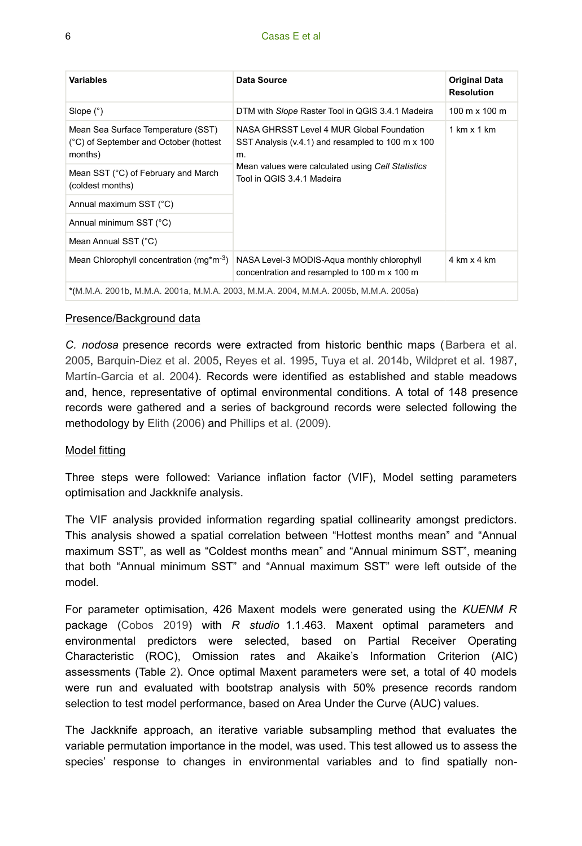#### 6 Casas E et al

| <b>Variables</b>                                                                         | Data Source                                                                                          | <b>Original Data</b><br><b>Resolution</b> |  |
|------------------------------------------------------------------------------------------|------------------------------------------------------------------------------------------------------|-------------------------------------------|--|
| Slope $(°)$                                                                              | DTM with Slope Raster Tool in QGIS 3.4.1 Madeira                                                     | $100 \text{ m} \times 100 \text{ m}$      |  |
| Mean Sea Surface Temperature (SST)<br>(°C) of September and October (hottest)<br>months) | NASA GHRSST Level 4 MUR Global Foundation<br>SST Analysis (v.4.1) and resampled to 100 m x 100<br>m. | 1 km x 1 km                               |  |
| Mean SST (°C) of February and March<br>(coldest months)                                  | Mean values were calculated using Cell Statistics<br>Tool in QGIS 3.4.1 Madeira                      |                                           |  |
| Annual maximum SST (°C)                                                                  |                                                                                                      |                                           |  |
| Annual minimum SST (°C)                                                                  |                                                                                                      |                                           |  |
| Mean Annual SST (°C)                                                                     |                                                                                                      |                                           |  |
| Mean Chlorophyll concentration (mg*m <sup>-3</sup> )                                     | NASA Level-3 MODIS-Agua monthly chlorophyll<br>concentration and resampled to 100 m x 100 m          | 4 km x 4 km                               |  |
| *(M.M.A. 2001b, M.M.A. 2001a, M.M.A. 2003, M.M.A. 2004, M.M.A. 2005b, M.M.A. 2005a)      |                                                                                                      |                                           |  |

## Presence/Background data

*C. nodosa* presence records were extracted from historic benthic maps ([Barbera et al.](#page-12-0) [2005](#page-12-0), [Barquin-Diez et al. 2005,](#page-12-1) [Reyes et al. 1995,](#page-14-2) [Tuya et al. 2014b](#page-15-3), [Wildpret et al. 1987,](#page-15-4) [Martín-Garcia et al. 2004](#page-14-3)). Records were identified as established and stable meadows and, hence, representative of optimal environmental conditions. A total of 148 presence records were gathered and a series of background records were selected following the methodology by [Elith \(2006\)](#page-13-13) and [Phillips et al. \(2009\).](#page-14-12)

#### Model fitting

Three steps were followed: Variance inflation factor (VIF), Model setting parameters optimisation and Jackknife analysis.

The VIF analysis provided information regarding spatial collinearity amongst predictors. This analysis showed a spatial correlation between "Hottest months mean" and "Annual maximum SST", as well as "Coldest months mean" and "Annual minimum SST", meaning that both "Annual minimum SST" and "Annual maximum SST" were left outside of the model.

For parameter optimisation, 426 Maxent models were generated using the *KUENM R* package [\(Cobos 2019](#page-13-12)) with *R studio* 1.1.463. Maxent optimal parameters and environmental predictors were selected, based on Partial Receiver Operating Characteristic (ROC), Omission rates and Akaike's Information Criterion (AIC) assessments (Table [2\)](#page-6-0). Once optimal Maxent parameters were set, a total of 40 models were run and evaluated with bootstrap analysis with 50% presence records random selection to test model performance, based on Area Under the Curve (AUC) values.

The Jackknife approach, an iterative variable subsampling method that evaluates the variable permutation importance in the model, was used. This test allowed us to assess the species' response to changes in environmental variables and to find spatially non-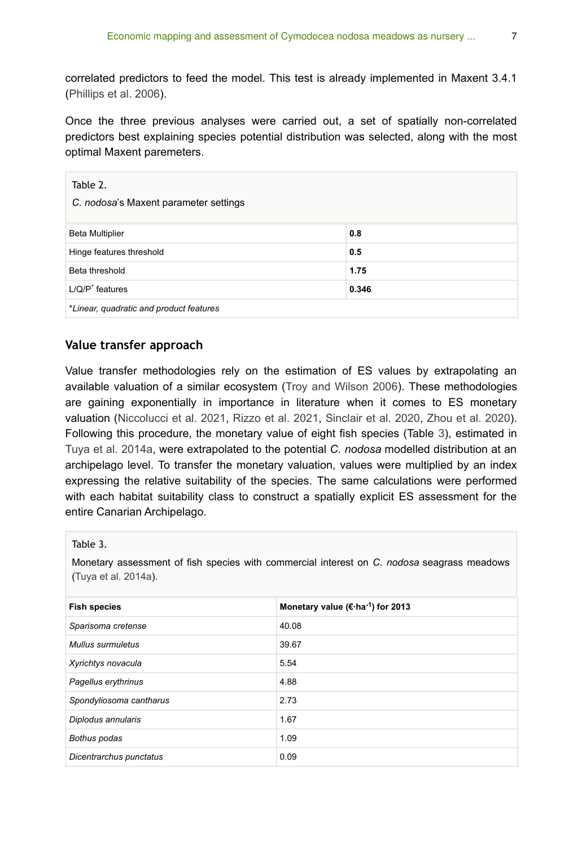correlated predictors to feed the model. This test is already implemented in Maxent 3.4.1 [\(Phillips et al. 2006](#page-14-5)).

Once the three previous analyses were carried out, a set of spatially non-correlated predictors best explaining species potential distribution was selected, along with the most optimal Maxent paremeters.

<span id="page-6-0"></span>

| Table 2.<br>C. nodosa's Maxent parameter settings |       |  |
|---------------------------------------------------|-------|--|
| <b>Beta Multiplier</b>                            | 0.8   |  |
| Hinge features threshold                          | 0.5   |  |
| Beta threshold                                    | 1.75  |  |
| $L/Q/P^*$ features                                | 0.346 |  |
| *Linear, quadratic and product features           |       |  |

## **Value transfer approach**

Value transfer methodologies rely on the estimation of ES values by extrapolating an available valuation of a similar ecosystem [\(Troy and Wilson 2006](#page-15-7)). These methodologies are gaining exponentially in importance in literature when it comes to ES monetary valuation ([Niccolucci et al. 2021](#page-14-13), [Rizzo et al. 2021,](#page-14-14) [Sinclair et al. 2020](#page-15-8), [Zhou et al. 2020\)](#page-15-9). Following this procedure, the monetary value of eight fish species (Table [3](#page-6-1)), estimated in [Tuya et al. 2014a,](#page-15-2) were extrapolated to the potential *C. nodosa* modelled distribution at an archipelago level. To transfer the monetary valuation, values were multiplied by an index expressing the relative suitability of the species. The same calculations were performed with each habitat suitability class to construct a spatially explicit ES assessment for the entire Canarian Archipelago.

## <span id="page-6-1"></span>Table 3.

Monetary assessment of fish species with commercial interest on *C. nodosa* seagrass meadows [\(Tuya et al. 2014a\)](#page-15-2).

| <b>Fish species</b>     | Monetary value ( $\epsilon$ ·ha <sup>-1</sup> ) for 2013 |
|-------------------------|----------------------------------------------------------|
| Sparisoma cretense      | 40.08                                                    |
| Mullus surmuletus       | 39.67                                                    |
| Xyrichtys novacula      | 5.54                                                     |
| Pagellus erythrinus     | 4.88                                                     |
| Spondyliosoma cantharus | 2.73                                                     |
| Diplodus annularis      | 1.67                                                     |
| Bothus podas            | 1.09                                                     |
| Dicentrarchus punctatus | 0.09                                                     |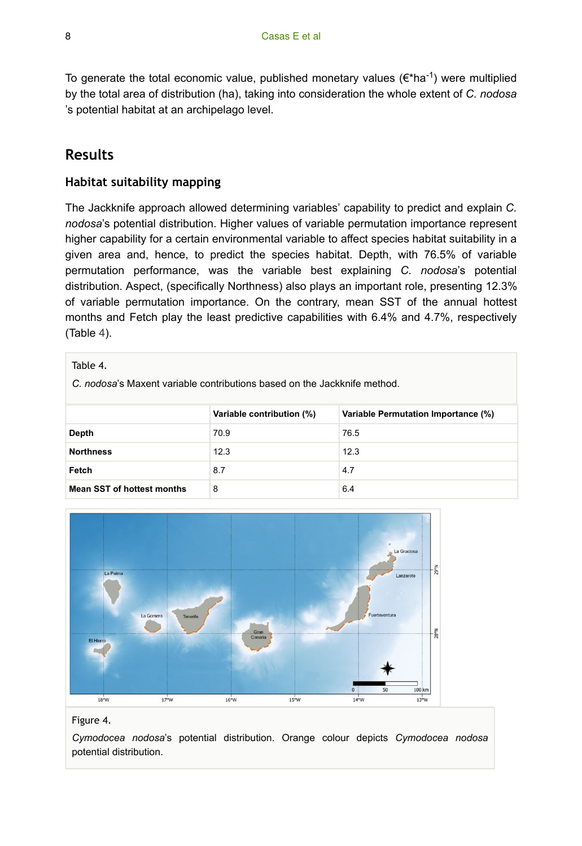To generate the total economic value, published monetary values ( $\varepsilon$ \*ha<sup>-1</sup>) were multiplied by the total area of distribution (ha), taking into consideration the whole extent of *C. nodosa* 's potential habitat at an archipelago level.

# **Results**

## **Habitat suitability mapping**

The Jackknife approach allowed determining variables' capability to predict and explain *C. nodosa*'s potential distribution. Higher values of variable permutation importance represent higher capability for a certain environmental variable to affect species habitat suitability in a given area and, hence, to predict the species habitat. Depth, with 76.5% of variable permutation performance, was the variable best explaining *C. nodosa*'s potential distribution. Aspect, (specifically Northness) also plays an important role, presenting 12.3% of variable permutation importance. On the contrary, mean SST of the annual hottest months and Fetch play the least predictive capabilities with 6.4% and 4.7%, respectively (Table [4](#page-7-0)).

<span id="page-7-0"></span>

| Table 4.                                                                 |                           |                                     |  |  |  |
|--------------------------------------------------------------------------|---------------------------|-------------------------------------|--|--|--|
| C, nodosa's Maxent variable contributions based on the Jackknife method. |                           |                                     |  |  |  |
|                                                                          |                           |                                     |  |  |  |
|                                                                          | Variable contribution (%) | Variable Permutation Importance (%) |  |  |  |
| Depth                                                                    | 70.9                      | 76.5                                |  |  |  |
| <b>Northness</b>                                                         | 12.3                      | 12.3                                |  |  |  |
| Fetch                                                                    | 8.7                       | 4.7                                 |  |  |  |
| <b>Mean SST of hottest months</b>                                        | 8                         | 6.4                                 |  |  |  |

<span id="page-7-1"></span>

#### Figure 4.

*Cymodocea nodosa*'s potential distribution. Orange colour depicts *Cymodocea nodosa* potential distribution.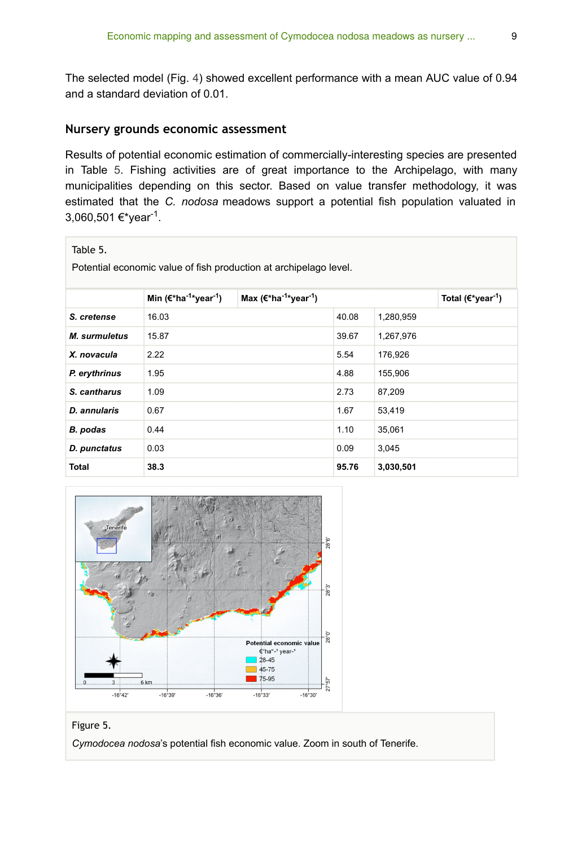The selected model (Fig. [4\)](#page-7-1) showed excellent performance with a mean AUC value of 0.94 and a standard deviation of 0.01.

## **Nursery grounds economic assessment**

Results of potential economic estimation of commercially-interesting species are presented in Table [5.](#page-8-0) Fishing activities are of great importance to the Archipelago, with many municipalities depending on this sector. Based on value transfer methodology, it was estimated that the *C. nodosa* meadows support a potential fish population valuated in 3,060,501 €\*year<sup>-1</sup>.

## <span id="page-8-0"></span>Table 5.

Potential economic value of fish production at archipelago level.

|                      | Min $(\epsilon^*$ ha <sup>-1</sup> *year <sup>-1</sup> ) | Max $(\epsilon^*$ ha <sup>-1*</sup> year <sup>-1</sup> ) |       |           | Total $(\epsilon^*$ year <sup>-1</sup> ) |
|----------------------|----------------------------------------------------------|----------------------------------------------------------|-------|-----------|------------------------------------------|
| S. cretense          | 16.03                                                    |                                                          | 40.08 | 1,280,959 |                                          |
| <b>M.</b> surmuletus | 15.87                                                    |                                                          | 39.67 | 1,267,976 |                                          |
| X. novacula          | 2.22                                                     |                                                          | 5.54  | 176,926   |                                          |
| P. erythrinus        | 1.95                                                     |                                                          | 4.88  | 155,906   |                                          |
| S. cantharus         | 1.09                                                     |                                                          | 2.73  | 87,209    |                                          |
| D. annularis         | 0.67                                                     |                                                          | 1.67  | 53,419    |                                          |
| B. podas             | 0.44                                                     |                                                          | 1.10  | 35,061    |                                          |
| D. punctatus         | 0.03                                                     |                                                          | 0.09  | 3,045     |                                          |
| <b>Total</b>         | 38.3                                                     |                                                          | 95.76 | 3,030,501 |                                          |

<span id="page-8-1"></span>



*Cymodocea nodosa*'s potential fish economic value. Zoom in south of Tenerife.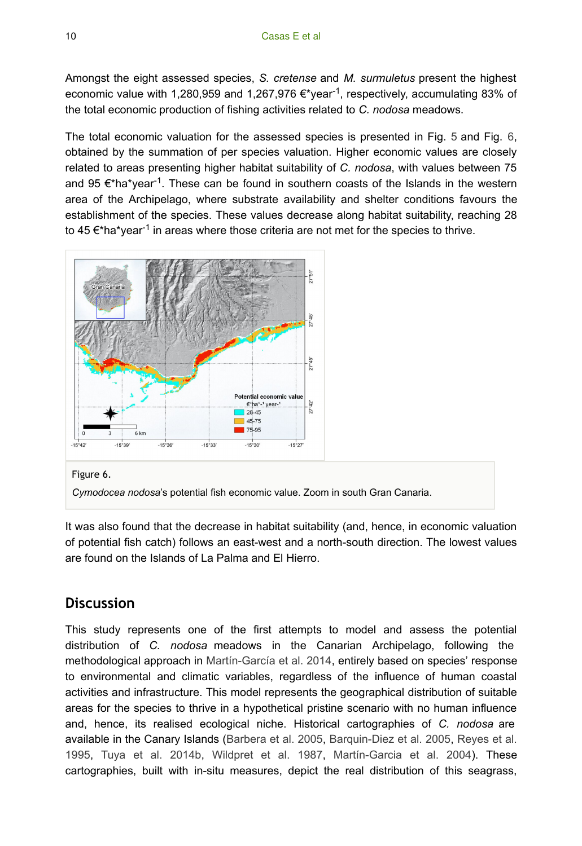Amongst the eight assessed species, *S. cretense* and *M. surmuletus* present the highest economic value with 1,280,959 and 1,267,976  $\epsilon$ \*year<sup>-1</sup>, respectively, accumulating 83% of the total economic production of fishing activities related to *C. nodosa* meadows.

The total economic valuation for the assessed species is presented in Fig. [5](#page-8-1) and Fig. [6,](#page-9-0) obtained by the summation of per species valuation. Higher economic values are closely related to areas presenting higher habitat suitability of *C. nodosa*, with values between 75 and 95  $\epsilon^*$ ha\*year<sup>-1</sup>. These can be found in southern coasts of the Islands in the western area of the Archipelago, where substrate availability and shelter conditions favours the establishment of the species. These values decrease along habitat suitability, reaching 28 to 45  $\epsilon^*$ ha\*year<sup>-1</sup> in areas where those criteria are not met for the species to thrive.

<span id="page-9-0"></span>

#### Figure 6.

*Cymodocea nodosa*'s potential fish economic value. Zoom in south Gran Canaria.

It was also found that the decrease in habitat suitability (and, hence, in economic valuation of potential fish catch) follows an east-west and a north-south direction. The lowest values are found on the Islands of La Palma and El Hierro.

## **Discussion**

This study represents one of the first attempts to model and assess the potential distribution of *C. nodosa* meadows in the Canarian Archipelago, following the methodological approach in [Martín-García et al. 2014](#page-14-15), entirely based on species' response to environmental and climatic variables, regardless of the influence of human coastal activities and infrastructure. This model represents the geographical distribution of suitable areas for the species to thrive in a hypothetical pristine scenario with no human influence and, hence, its realised ecological niche. Historical cartographies of *C. nodosa* are available in the Canary Islands ([Barbera et al. 2005](#page-12-0), [Barquin-Diez et al. 2005,](#page-12-1) [Reyes et al.](#page-14-2) [1995](#page-14-2), [Tuya et al. 2014b,](#page-15-3) [Wildpret et al. 1987](#page-15-4), [Martín-Garcia et al. 2004\)](#page-14-3). These cartographies, built with in-situ measures, depict the real distribution of this seagrass,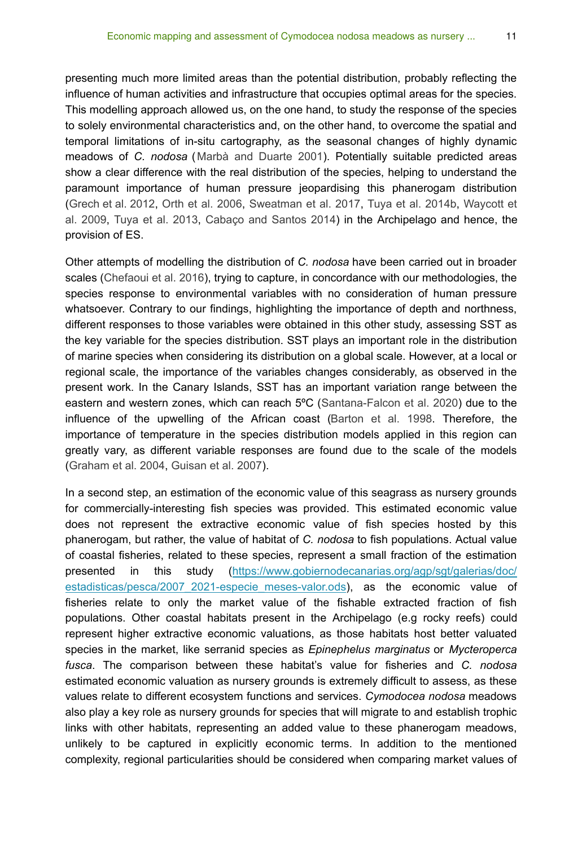presenting much more limited areas than the potential distribution, probably reflecting the influence of human activities and infrastructure that occupies optimal areas for the species. This modelling approach allowed us, on the one hand, to study the response of the species to solely environmental characteristics and, on the other hand, to overcome the spatial and temporal limitations of in-situ cartography, as the seasonal changes of highly dynamic meadows of *C. nodosa* ([Marbà and Duarte 2001](#page-14-16)). Potentially suitable predicted areas show a clear difference with the real distribution of the species, helping to understand the paramount importance of human pressure jeopardising this phanerogam distribution [\(Grech et al. 2012](#page-13-14), [Orth et al. 2006](#page-14-1), [Sweatman et al. 2017](#page-15-10), [Tuya et al. 2014b,](#page-15-3) [Waycott et](#page-15-1) [al. 2009,](#page-15-1) [Tuya et al. 2013,](#page-15-11) [Cabaço and Santos 2014\)](#page-13-15) in the Archipelago and hence, the provision of ES.

Other attempts of modelling the distribution of *C. nodosa* have been carried out in broader scales [\(Chefaoui et al. 2016](#page-13-16)), trying to capture, in concordance with our methodologies, the species response to environmental variables with no consideration of human pressure whatsoever. Contrary to our findings, highlighting the importance of depth and northness, different responses to those variables were obtained in this other study, assessing SST as the key variable for the species distribution. SST plays an important role in the distribution of marine species when considering its distribution on a global scale. However, at a local or regional scale, the importance of the variables changes considerably, as observed in the present work. In the Canary Islands, SST has an important variation range between the eastern and western zones, which can reach 5ºC ([Santana-Falcon et al. 2020\)](#page-15-12) due to the influence of the upwelling of the African coast ([Barton et al. 1998](#page-13-10). Therefore, the importance of temperature in the species distribution models applied in this region can greatly vary, as different variable responses are found due to the scale of the models [\(Graham et al. 2004](#page-13-17), [Guisan et al. 2007\)](#page-13-18).

In a second step, an estimation of the economic value of this seagrass as nursery grounds for commercially-interesting fish species was provided. This estimated economic value does not represent the extractive economic value of fish species hosted by this phanerogam, but rather, the value of habitat of *C. nodosa* to fish populations. Actual value of coastal fisheries, related to these species, represent a small fraction of the estimation presented in this study ([https://www.gobiernodecanarias.org/agp/sgt/galerias/doc/](https://www.gobiernodecanarias.org/agp/sgt/galerias/doc/estadisticas/pesca/2007_2021-especie_meses-valor.ods) estadisticas/pesca/2007 2021-especie meses-valor.ods), as the economic value of fisheries relate to only the market value of the fishable extracted fraction of fish populations. Other coastal habitats present in the Archipelago (e.g rocky reefs) could represent higher extractive economic valuations, as those habitats host better valuated species in the market, like serranid species as *Epinephelus marginatus* or *Mycteroperca fusca*. The comparison between these habitat's value for fisheries and *C. nodosa* estimated economic valuation as nursery grounds is extremely difficult to assess, as these values relate to different ecosystem functions and services. *Cymodocea nodosa* meadows also play a key role as nursery grounds for species that will migrate to and establish trophic links with other habitats, representing an added value to these phanerogam meadows, unlikely to be captured in explicitly economic terms. In addition to the mentioned complexity, regional particularities should be considered when comparing market values of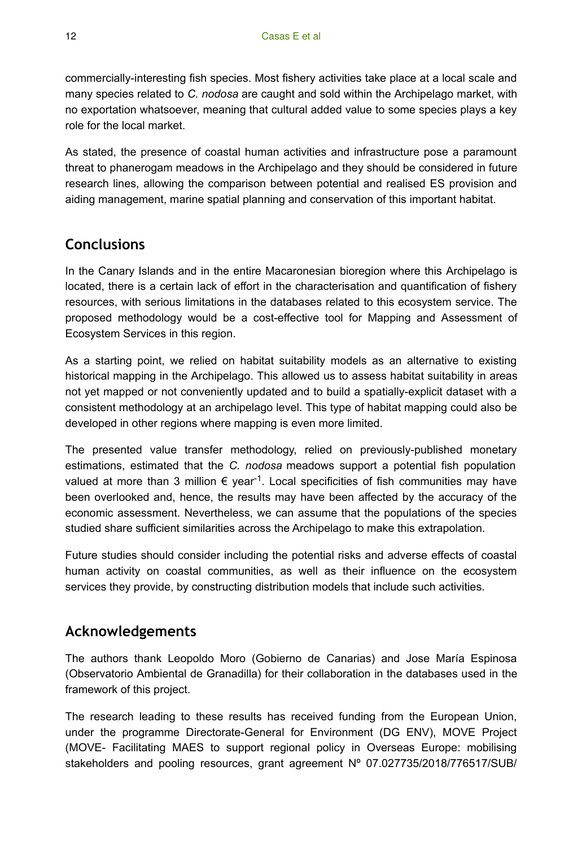commercially-interesting fish species. Most fishery activities take place at a local scale and many species related to *C. nodosa* are caught and sold within the Archipelago market, with no exportation whatsoever, meaning that cultural added value to some species plays a key role for the local market.

As stated, the presence of coastal human activities and infrastructure pose a paramount threat to phanerogam meadows in the Archipelago and they should be considered in future research lines, allowing the comparison between potential and realised ES provision and aiding management, marine spatial planning and conservation of this important habitat.

# **Conclusions**

In the Canary Islands and in the entire Macaronesian bioregion where this Archipelago is located, there is a certain lack of effort in the characterisation and quantification of fishery resources, with serious limitations in the databases related to this ecosystem service. The proposed methodology would be a cost-effective tool for Mapping and Assessment of Ecosystem Services in this region.

As a starting point, we relied on habitat suitability models as an alternative to existing historical mapping in the Archipelago. This allowed us to assess habitat suitability in areas not yet mapped or not conveniently updated and to build a spatially-explicit dataset with a consistent methodology at an archipelago level. This type of habitat mapping could also be developed in other regions where mapping is even more limited.

The presented value transfer methodology, relied on previously-published monetary estimations, estimated that the *C. nodosa* meadows support a potential fish population valued at more than 3 million  $\epsilon$  year<sup>-1</sup>. Local specificities of fish communities may have been overlooked and, hence, the results may have been affected by the accuracy of the economic assessment. Nevertheless, we can assume that the populations of the species studied share sufficient similarities across the Archipelago to make this extrapolation.

Future studies should consider including the potential risks and adverse effects of coastal human activity on coastal communities, as well as their influence on the ecosystem services they provide, by constructing distribution models that include such activities.

# **Acknowledgements**

The authors thank Leopoldo Moro (Gobierno de Canarias) and Jose María Espinosa (Observatorio Ambiental de Granadilla) for their collaboration in the databases used in the framework of this project.

The research leading to these results has received funding from the European Union, under the programme Directorate-General for Environment (DG ENV), MOVE Project (MOVE- Facilitating MAES to support regional policy in Overseas Europe: mobilising stakeholders and pooling resources, grant agreement N° 07.027735/2018/776517/SUB/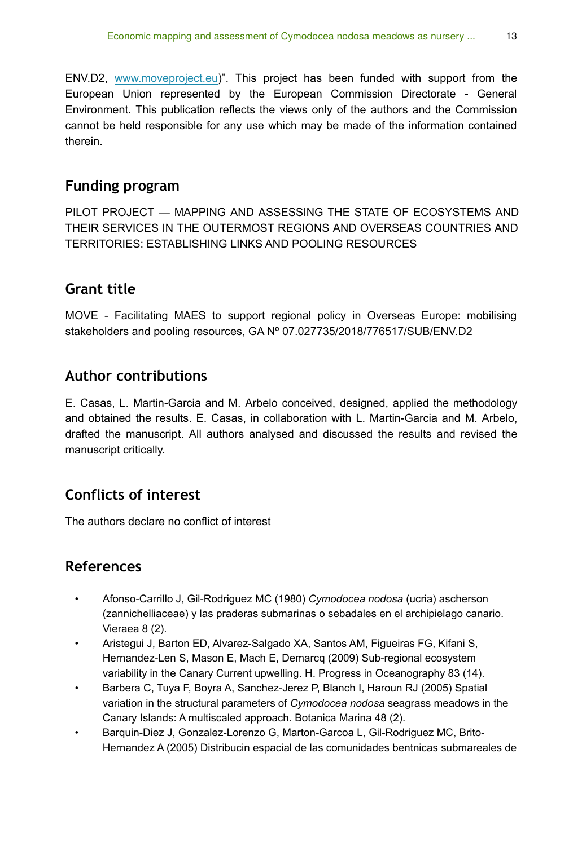ENV.D2, [www.moveproject.eu](http://www.moveproject.eu))". This project has been funded with support from the European Union represented by the European Commission Directorate - General Environment. This publication reflects the views only of the authors and the Commission cannot be held responsible for any use which may be made of the information contained therein.

# **Funding program**

PILOT PROJECT — MAPPING AND ASSESSING THE STATE OF ECOSYSTEMS AND THEIR SERVICES IN THE OUTERMOST REGIONS AND OVERSEAS COUNTRIES AND TERRITORIES: ESTABLISHING LINKS AND POOLING RESOURCES

# **Grant title**

MOVE - Facilitating MAES to support regional policy in Overseas Europe: mobilising stakeholders and pooling resources, GA Nº 07.027735/2018/776517/SUB/ENV.D2

# **Author contributions**

E. Casas, L. Martin-Garcia and M. Arbelo conceived, designed, applied the methodology and obtained the results. E. Casas, in collaboration with L. Martin-Garcia and M. Arbelo, drafted the manuscript. All authors analysed and discussed the results and revised the manuscript critically.

# **Conflicts of interest**

The authors declare no conflict of interest

# **References**

- <span id="page-12-3"></span>• Afonso-Carrillo J, Gil-Rodriguez MC (1980) *Cymodocea nodosa* (ucria) ascherson (zannichelliaceae) y las praderas submarinas o sebadales en el archipielago canario. Vieraea 8 (2).
- <span id="page-12-2"></span>• Aristegui J, Barton ED, Alvarez-Salgado XA, Santos AM, Figueiras FG, Kifani S, Hernandez-Len S, Mason E, Mach E, Demarcq (2009) Sub-regional ecosystem variability in the Canary Current upwelling. H. Progress in Oceanography 83 (14).
- <span id="page-12-0"></span>• Barbera C, Tuya F, Boyra A, Sanchez-Jerez P, Blanch I, Haroun RJ (2005) Spatial variation in the structural parameters of *Cymodocea nodosa* seagrass meadows in the Canary Islands: A multiscaled approach. Botanica Marina 48 (2).
- <span id="page-12-1"></span>• Barquin-Diez J, Gonzalez-Lorenzo G, Marton-Garcoa L, Gil-Rodriguez MC, Brito-Hernandez A (2005) Distribucin espacial de las comunidades bentnicas submareales de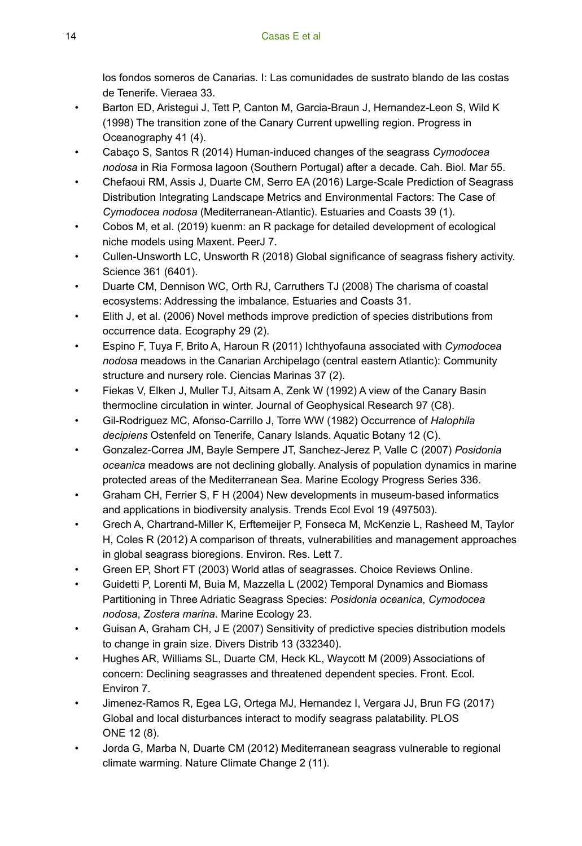los fondos someros de Canarias. I: Las comunidades de sustrato blando de las costas de Tenerife. Vieraea 33.

- <span id="page-13-10"></span>• Barton ED, Aristegui J, Tett P, Canton M, Garcia-Braun J, Hernandez-Leon S, Wild K (1998) The transition zone of the Canary Current upwelling region. Progress in Oceanography 41 (4).
- <span id="page-13-15"></span>• Cabaço S, Santos R (2014) Human-induced changes of the seagrass *Cymodocea nodosa* in Ria Formosa lagoon (Southern Portugal) after a decade. Cah. Biol. Mar 55.
- <span id="page-13-16"></span>• Chefaoui RM, Assis J, Duarte CM, Serro EA (2016) Large-Scale Prediction of Seagrass Distribution Integrating Landscape Metrics and Environmental Factors: The Case of *Cymodocea nodosa* (Mediterranean-Atlantic). Estuaries and Coasts 39 (1).
- <span id="page-13-12"></span>• Cobos M, et al. (2019) kuenm: an R package for detailed development of ecological niche models using Maxent. PeerJ 7.
- <span id="page-13-1"></span>• Cullen-Unsworth LC, Unsworth R (2018) Global significance of seagrass fishery activity. Science 361 (6401).
- <span id="page-13-4"></span>• Duarte CM, Dennison WC, Orth RJ, Carruthers TJ (2008) The charisma of coastal ecosystems: Addressing the imbalance. Estuaries and Coasts 31.
- <span id="page-13-13"></span>• Elith J, et al. (2006) Novel methods improve prediction of species distributions from occurrence data. Ecography 29 (2).
- <span id="page-13-2"></span>• Espino F, Tuya F, Brito A, Haroun R (2011) Ichthyofauna associated with *Cymodocea nodosa* meadows in the Canarian Archipelago (central eastern Atlantic): Community structure and nursery role. Ciencias Marinas 37 (2).
- <span id="page-13-9"></span>• Fiekas V, Elken J, Muller TJ, Aitsam A, Zenk W (1992) A view of the Canary Basin thermocline circulation in winter. Journal of Geophysical Research 97 (C8).
- <span id="page-13-11"></span>• Gil-Rodriguez MC, Afonso-Carrillo J, Torre WW (1982) Occurrence of *Halophila decipiens* Ostenfeld on Tenerife, Canary Islands. Aquatic Botany 12 (C).
- <span id="page-13-7"></span>• Gonzalez-Correa JM, Bayle Sempere JT, Sanchez-Jerez P, Valle C (2007) *Posidonia oceanica* meadows are not declining globally. Analysis of population dynamics in marine protected areas of the Mediterranean Sea. Marine Ecology Progress Series 336.
- <span id="page-13-17"></span>• Graham CH, Ferrier S, F H (2004) New developments in museum-based informatics and applications in biodiversity analysis. Trends Ecol Evol 19 (497503).
- <span id="page-13-14"></span>• Grech A, Chartrand-Miller K, Erftemeijer P, Fonseca M, McKenzie L, Rasheed M, Taylor H, Coles R (2012) A comparison of threats, vulnerabilities and management approaches in global seagrass bioregions. Environ. Res. Lett 7.
- <span id="page-13-0"></span>• Green EP, Short FT (2003) World atlas of seagrasses. Choice Reviews Online.
- <span id="page-13-8"></span>• Guidetti P, Lorenti M, Buia M, Mazzella L (2002) Temporal Dynamics and Biomass Partitioning in Three Adriatic Seagrass Species: *Posidonia oceanica*, *Cymodocea nodosa*, *Zostera marina*. Marine Ecology 23.
- <span id="page-13-18"></span>• Guisan A, Graham CH, J E (2007) Sensitivity of predictive species distribution models to change in grain size. Divers Distrib 13 (332340).
- <span id="page-13-5"></span>• Hughes AR, Williams SL, Duarte CM, Heck KL, Waycott M (2009) Associations of concern: Declining seagrasses and threatened dependent species. Front. Ecol. Environ 7.
- <span id="page-13-3"></span>• Jimenez-Ramos R, Egea LG, Ortega MJ, Hernandez I, Vergara JJ, Brun FG (2017) Global and local disturbances interact to modify seagrass palatability. PLOS ONE 12 (8).
- <span id="page-13-6"></span>• Jorda G, Marba N, Duarte CM (2012) Mediterranean seagrass vulnerable to regional climate warming. Nature Climate Change 2 (11).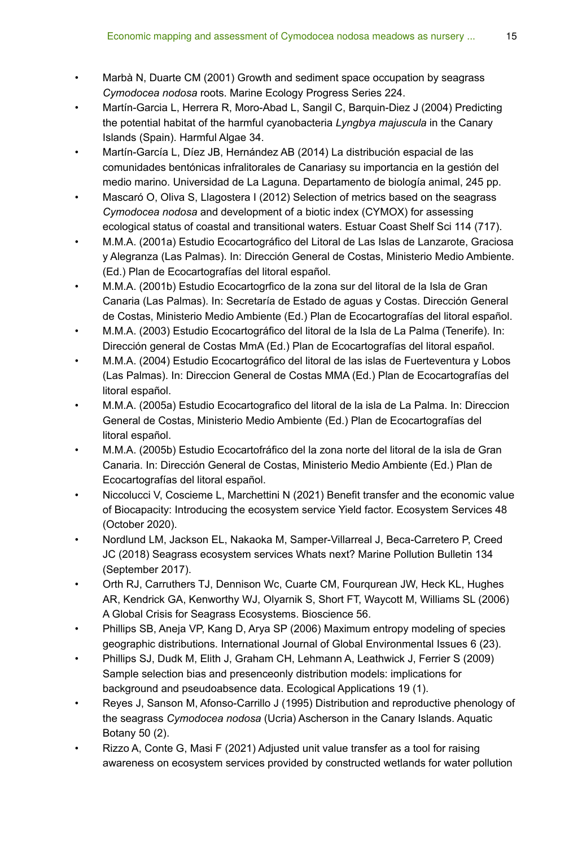- <span id="page-14-16"></span>• Marbà N, Duarte CM (2001) Growth and sediment space occupation by seagrass *Cymodocea nodosa* roots. Marine Ecology Progress Series 224.
- <span id="page-14-3"></span>• Martín-Garcia L, Herrera R, Moro-Abad L, Sangil C, Barquin-Diez J (2004) Predicting the potential habitat of the harmful cyanobacteria *Lyngbya majuscula* in the Canary Islands (Spain). Harmful Algae 34.
- <span id="page-14-15"></span>• Martín-García L, Díez JB, Hernández AB (2014) La distribución espacial de las comunidades bentónicas infralitorales de Canariasy su importancia en la gestión del medio marino. Universidad de La Laguna. Departamento de biología animal, 245 pp.
- <span id="page-14-4"></span>• Mascaró O, Oliva S, Llagostera I (2012) Selection of metrics based on the seagrass *Cymodocea nodosa* and development of a biotic index (CYMOX) for assessing ecological status of coastal and transitional waters. Estuar Coast Shelf Sci 114 (717).
- <span id="page-14-7"></span>• M.M.A. (2001a) Estudio Ecocartográfico del Litoral de Las Islas de Lanzarote, Graciosa y Alegranza (Las Palmas). In: Dirección General de Costas, Ministerio Medio Ambiente. (Ed.) Plan de Ecocartografías del litoral español.
- <span id="page-14-6"></span>• M.M.A. (2001b) Estudio Ecocartogrfico de la zona sur del litoral de la Isla de Gran Canaria (Las Palmas). In: Secretaría de Estado de aguas y Costas. Dirección General de Costas, Ministerio Medio Ambiente (Ed.) Plan de Ecocartografías del litoral español.
- <span id="page-14-8"></span>• M.M.A. (2003) Estudio Ecocartográfico del litoral de la Isla de La Palma (Tenerife). In: Dirección general de Costas MmA (Ed.) Plan de Ecocartografías del litoral español.
- <span id="page-14-9"></span>• M.M.A. (2004) Estudio Ecocartográfico del litoral de las islas de Fuerteventura y Lobos (Las Palmas). In: Direccion General de Costas MMA (Ed.) Plan de Ecocartografías del litoral español.
- <span id="page-14-11"></span>• M.M.A. (2005a) Estudio Ecocartografico del litoral de la isla de La Palma. In: Direccion General de Costas, Ministerio Medio Ambiente (Ed.) Plan de Ecocartografías del litoral español.
- <span id="page-14-10"></span>• M.M.A. (2005b) Estudio Ecocartofráfico del la zona norte del litoral de la isla de Gran Canaria. In: Dirección General de Costas, Ministerio Medio Ambiente (Ed.) Plan de Ecocartografías del litoral español.
- <span id="page-14-13"></span>• Niccolucci V, Coscieme L, Marchettini N (2021) Benefit transfer and the economic value of Biocapacity: Introducing the ecosystem service Yield factor. Ecosystem Services 48 (October 2020).
- <span id="page-14-0"></span>• Nordlund LM, Jackson EL, Nakaoka M, Samper-Villarreal J, Beca-Carretero P, Creed JC (2018) Seagrass ecosystem services Whats next? Marine Pollution Bulletin 134 (September 2017).
- <span id="page-14-1"></span>• Orth RJ, Carruthers TJ, Dennison Wc, Cuarte CM, Fourqurean JW, Heck KL, Hughes AR, Kendrick GA, Kenworthy WJ, Olyarnik S, Short FT, Waycott M, Williams SL (2006) A Global Crisis for Seagrass Ecosystems. Bioscience 56.
- <span id="page-14-5"></span>• Phillips SB, Aneja VP, Kang D, Arya SP (2006) Maximum entropy modeling of species geographic distributions. International Journal of Global Environmental Issues 6 (23).
- <span id="page-14-12"></span>• Phillips SJ, Dudk M, Elith J, Graham CH, Lehmann A, Leathwick J, Ferrier S (2009) Sample selection bias and presenceonly distribution models: implications for background and pseudoabsence data. Ecological Applications 19 (1).
- <span id="page-14-2"></span>• Reyes J, Sanson M, Afonso-Carrillo J (1995) Distribution and reproductive phenology of the seagrass *Cymodocea nodosa* (Ucria) Ascherson in the Canary Islands. Aquatic Botany 50 (2).
- <span id="page-14-14"></span>• Rizzo A, Conte G, Masi F (2021) Adjusted unit value transfer as a tool for raising awareness on ecosystem services provided by constructed wetlands for water pollution